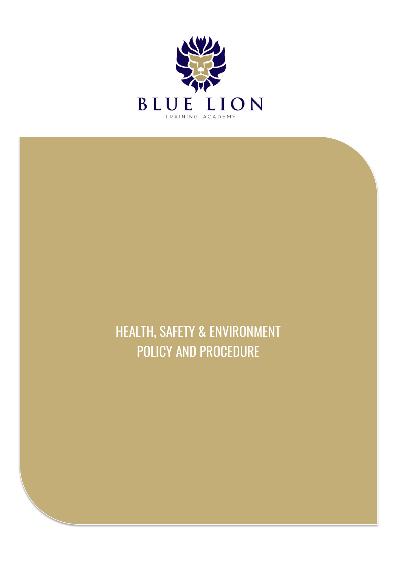

HEALTH, SAFETY & ENVIRONMENT POLICY AND PROCEDURE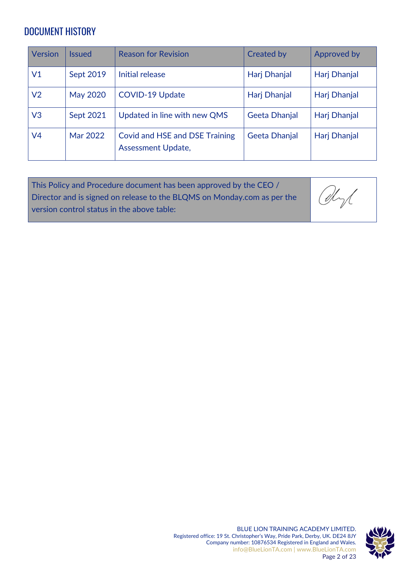#### <span id="page-1-0"></span>DOCUMENT HISTORY

| Version        | <b>Issued</b>   | <b>Reason for Revision</b>                                         | <b>Created by</b>    | Approved by  |
|----------------|-----------------|--------------------------------------------------------------------|----------------------|--------------|
| V1             | Sept 2019       | Initial release                                                    | Harj Dhanjal         | Harj Dhanjal |
| V <sub>2</sub> | <b>May 2020</b> | <b>COVID-19 Update</b>                                             | Harj Dhanjal         | Harj Dhanjal |
| V3             | Sept 2021       | Updated in line with new QMS                                       | Geeta Dhanjal        | Harj Dhanjal |
| V4             | Mar 2022        | <b>Covid and HSE and DSE Training</b><br><b>Assessment Update,</b> | <b>Geeta Dhanjal</b> | Harj Dhanjal |

This Policy and Procedure document has been approved by the CEO / Director and is signed on release to the BLQMS on Monday.com as per the version control status in the above table:

Obyl



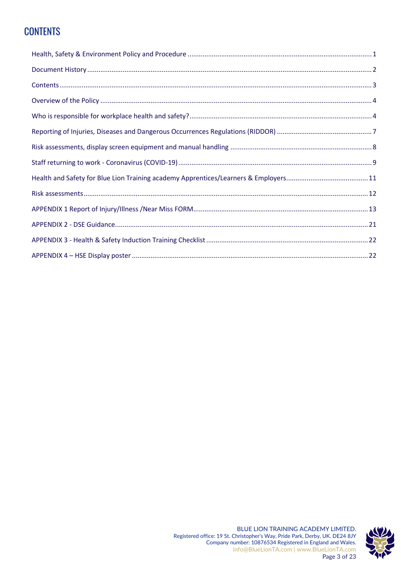### <span id="page-2-0"></span>**CONTENTS**

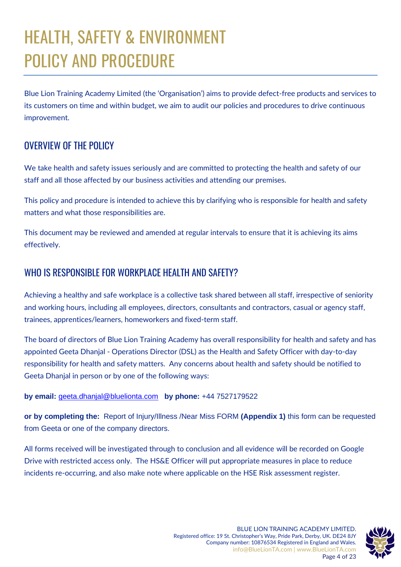# HEALTH, SAFETY & ENVIRONMENT POLICY AND PROCEDURE

Blue Lion Training Academy Limited (the 'Organisation') aims to provide defect-free products and services to its customers on time and within budget, we aim to audit our policies and procedures to drive continuous improvement.

#### <span id="page-3-0"></span>OVERVIEW OF THE POLICY

We take health and safety issues seriously and are committed to protecting the health and safety of our staff and all those affected by our business activities and attending our premises.

This policy and procedure is intended to achieve this by clarifying who is responsible for health and safety matters and what those responsibilities are.

This document may be reviewed and amended at regular intervals to ensure that it is achieving its aims effectively.

#### <span id="page-3-1"></span>WHO IS RESPONSIBLE FOR WORKPLACE HEALTH AND SAFETY?

Achieving a healthy and safe workplace is a collective task shared between all staff, irrespective of seniority and working hours, including all employees, directors, consultants and contractors, casual or agency staff, trainees, apprentices/learners, homeworkers and fixed-term staff.

The board of directors of Blue Lion Training Academy has overall responsibility for health and safety and has appointed Geeta Dhanjal - Operations Director (DSL) as the Health and Safety Officer with day-to-day responsibility for health and safety matters. Any concerns about health and safety should be notified to Geeta Dhanjal in person or by one of the following ways:

#### **by email:** [geeta.dhanjal@bluelionta.com](mailto:geeta.dhanjal@bluelionta.com) **by phone:** +44 7527179522

**or by completing the:** Report of Injury/Illness /Near Miss FORM **(Appendix 1)** this form can be requested from Geeta or one of the company directors.

All forms received will be investigated through to conclusion and all evidence will be recorded on Google Drive with restricted access only. The HS&E Officer will put appropriate measures in place to reduce incidents re-occurring, and also make note where applicable on the HSE Risk assessment register.

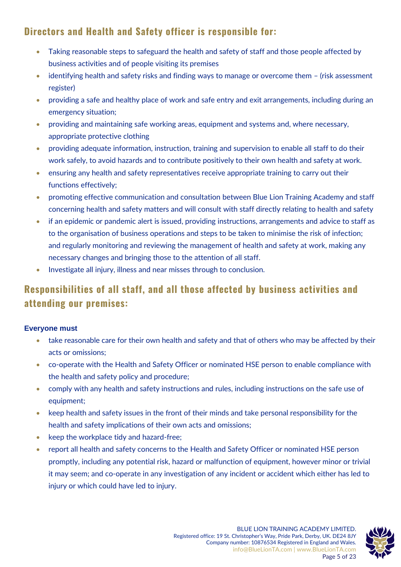#### **Directors and Health and Safety officer is responsible for:**

- Taking reasonable steps to safeguard the health and safety of staff and those people affected by business activities and of people visiting its premises
- identifying health and safety risks and finding ways to manage or overcome them (risk assessment register)
- providing a safe and healthy place of work and safe entry and exit arrangements, including during an emergency situation;
- providing and maintaining safe working areas, equipment and systems and, where necessary, appropriate protective clothing
- providing adequate information, instruction, training and supervision to enable all staff to do their work safely, to avoid hazards and to contribute positively to their own health and safety at work.
- ensuring any health and safety representatives receive appropriate training to carry out their functions effectively;
- promoting effective communication and consultation between Blue Lion Training Academy and staff concerning health and safety matters and will consult with staff directly relating to health and safety
- if an epidemic or pandemic alert is issued, providing instructions, arrangements and advice to staff as to the organisation of business operations and steps to be taken to minimise the risk of infection; and regularly monitoring and reviewing the management of health and safety at work, making any necessary changes and bringing those to the attention of all staff.
- Investigate all injury, illness and near misses through to conclusion.

### **Responsibilities of all staff, and all those affected by business activities and attending our premises:**

#### **Everyone must**

- take reasonable care for their own health and safety and that of others who may be affected by their acts or omissions;
- co-operate with the Health and Safety Officer or nominated HSE person to enable compliance with the health and safety policy and procedure;
- comply with any health and safety instructions and rules, including instructions on the safe use of equipment;
- keep health and safety issues in the front of their minds and take personal responsibility for the health and safety implications of their own acts and omissions;
- keep the workplace tidy and hazard-free;
- report all health and safety concerns to the Health and Safety Officer or nominated HSE person promptly, including any potential risk, hazard or malfunction of equipment, however minor or trivial it may seem; and co-operate in any investigation of any incident or accident which either has led to injury or which could have led to injury.

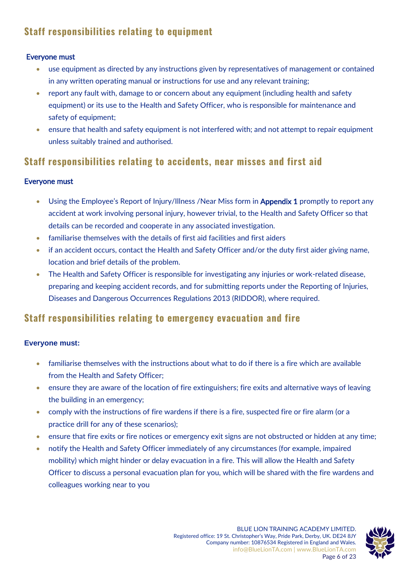### **Staff responsibilities relating to equipment**

#### Everyone must

- use equipment as directed by any instructions given by representatives of management or contained in any written operating manual or instructions for use and any relevant training;
- report any fault with, damage to or concern about any equipment (including health and safety equipment) or its use to the Health and Safety Officer, who is responsible for maintenance and safety of equipment;
- ensure that health and safety equipment is not interfered with; and not attempt to repair equipment unless suitably trained and authorised.

#### **Staff responsibilities relating to accidents, near misses and first aid**

#### Everyone must

- Using the Employee's Report of Injury/Illness / Near Miss form in Appendix 1 promptly to report any accident at work involving personal injury, however trivial, to the Health and Safety Officer so that details can be recorded and cooperate in any associated investigation.
- familiarise themselves with the details of first aid facilities and first aiders
- if an accident occurs, contact the Health and Safety Officer and/or the duty first aider giving name, location and brief details of the problem.
- The Health and Safety Officer is responsible for investigating any injuries or work-related disease, preparing and keeping accident records, and for submitting reports under the Reporting of Injuries, Diseases and Dangerous Occurrences Regulations 2013 (RIDDOR), where required.

#### **Staff responsibilities relating to emergency evacuation and fire**

#### **Everyone must:**

- familiarise themselves with the instructions about what to do if there is a fire which are available from the Health and Safety Officer;
- ensure they are aware of the location of fire extinguishers; fire exits and alternative ways of leaving the building in an emergency;
- comply with the instructions of fire wardens if there is a fire, suspected fire or fire alarm (or a practice drill for any of these scenarios);
- ensure that fire exits or fire notices or emergency exit signs are not obstructed or hidden at any time;
- notify the Health and Safety Officer immediately of any circumstances (for example, impaired mobility) which might hinder or delay evacuation in a fire. This will allow the Health and Safety Officer to discuss a personal evacuation plan for you, which will be shared with the fire wardens and colleagues working near to you

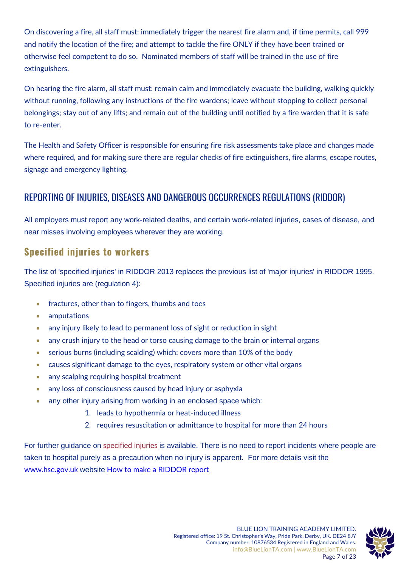On discovering a fire, all staff must: immediately trigger the nearest fire alarm and, if time permits, call 999 and notify the location of the fire; and attempt to tackle the fire ONLY if they have been trained or otherwise feel competent to do so. Nominated members of staff will be trained in the use of fire extinguishers.

On hearing the fire alarm, all staff must: remain calm and immediately evacuate the building, walking quickly without running, following any instructions of the fire wardens; leave without stopping to collect personal belongings; stay out of any lifts; and remain out of the building until notified by a fire warden that it is safe to re-enter.

The Health and Safety Officer is responsible for ensuring fire risk assessments take place and changes made where required, and for making sure there are regular checks of fire extinguishers, fire alarms, escape routes, signage and emergency lighting.

#### <span id="page-6-0"></span>REPORTING OF INJURIES, DISEASES AND DANGEROUS OCCURRENCES REGULATIONS (RIDDOR)

All employers must report any work-related deaths, and certain work-related injuries, cases of disease, and near misses involving employees wherever they are working.

#### **Specified injuries to workers**

The list of 'specified injuries' in RIDDOR 2013 replaces the previous list of 'major injuries' in RIDDOR 1995. Specified injuries are (regulation 4):

- fractures, other than to fingers, thumbs and toes
- amputations
- any injury likely to lead to permanent loss of sight or reduction in sight
- any crush injury to the head or torso causing damage to the brain or internal organs
- serious burns (including scalding) which: covers more than 10% of the body
- causes significant damage to the eyes, respiratory system or other vital organs
- any scalping requiring hospital treatment
- any loss of consciousness caused by head injury or asphyxia
- any other injury arising from working in an enclosed space which:
	- 1. leads to hypothermia or heat-induced illness
	- 2. requires resuscitation or admittance to hospital for more than 24 hours

For further guidance on [specified injuries](https://www.hse.gov.uk/riddor/specified-injuries.htm) is available. There is no need to report incidents where people are taken to hospital purely as a precaution when no injury is apparent. For more details visit the [www.hse.gov.uk](http://www.hse.gov.uk/) website [How to make a RIDDOR report](https://www.hse.gov.uk/riddor/report.htm#online)

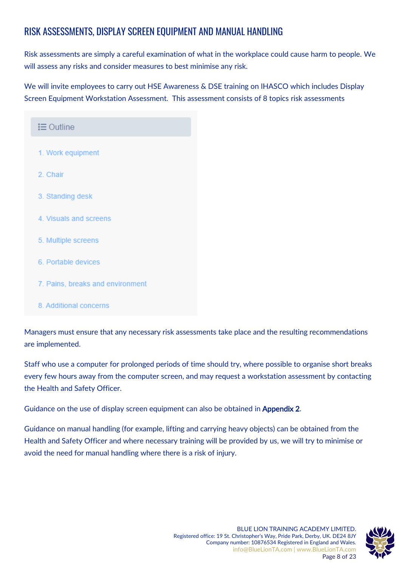### <span id="page-7-0"></span>RISK ASSESSMENTS, DISPLAY SCREEN EQUIPMENT AND MANUAL HANDLING

Risk assessments are simply a careful examination of what in the workplace could cause harm to people. We will assess any risks and consider measures to best minimise any risk.

We will invite employees to carry out HSE Awareness & DSE training on IHASCO which includes Display Screen Equipment Workstation Assessment. This assessment consists of 8 topics risk assessments

| $\equiv$ Outline                 |
|----------------------------------|
| 1. Work equipment                |
| 2. Chair                         |
| 3. Standing desk                 |
| 4. Visuals and screens           |
| 5. Multiple screens              |
| 6. Portable devices              |
| 7. Pains, breaks and environment |

8. Additional concerns

Managers must ensure that any necessary risk assessments take place and the resulting recommendations are implemented.

Staff who use a computer for prolonged periods of time should try, where possible to organise short breaks every few hours away from the computer screen, and may request a workstation assessment by contacting the Health and Safety Officer.

Guidance on the use of display screen equipment can also be obtained in **Appendix 2.** 

Guidance on manual handling (for example, lifting and carrying heavy objects) can be obtained from the Health and Safety Officer and where necessary training will be provided by us, we will try to minimise or avoid the need for manual handling where there is a risk of injury.

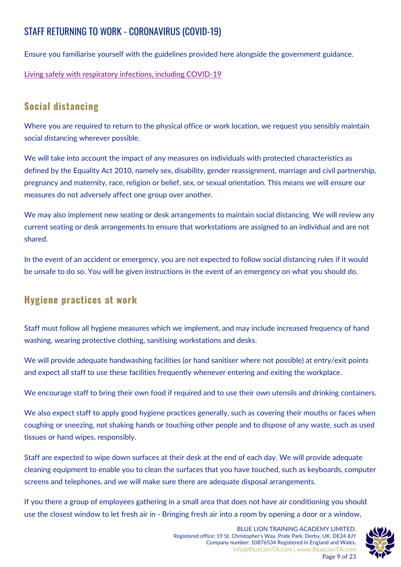### <span id="page-8-0"></span>STAFF RETURNING TO WORK - CORONAVIRUS (COVID-19)

Ensure you familiarise yourself with the guidelines provided here alongside the government guidance.

[Living safely with respiratory infections, including COVID-19](https://www.gov.uk/guidance/living-safely-with-respiratory-infections-including-covid-19#stay-at-home-and-avoid-contact-with-other-people-if-you-test-positive)

#### **Social distancing**

Where you are required to return to the physical office or work location, we request you sensibly maintain social distancing wherever possible.

We will take into account the impact of any measures on individuals with protected characteristics as defined by the Equality Act 2010, namely sex, disability, gender reassignment, marriage and civil partnership, pregnancy and maternity, race, religion or belief, sex, or sexual orientation. This means we will ensure our measures do not adversely affect one group over another.

We may also implement new seating or desk arrangements to maintain social distancing. We will review any current seating or desk arrangements to ensure that workstations are assigned to an individual and are not shared.

In the event of an accident or emergency, you are not expected to follow social distancing rules if it would be unsafe to do so. You will be given instructions in the event of an emergency on what you should do.

#### **Hygiene practices at work**

Staff must follow all hygiene measures which we implement, and may include increased frequency of hand washing, wearing protective clothing, sanitising workstations and desks.

We will provide adequate handwashing facilities (or hand sanitiser where not possible) at entry/exit points and expect all staff to use these facilities frequently whenever entering and exiting the workplace.

We encourage staff to bring their own food if required and to use their own utensils and drinking containers.

We also expect staff to apply good hygiene practices generally, such as covering their mouths or faces when coughing or sneezing, not shaking hands or touching other people and to dispose of any waste, such as used tissues or hand wipes, responsibly.

Staff are expected to wipe down surfaces at their desk at the end of each day. We will provide adequate cleaning equipment to enable you to clean the surfaces that you have touched, such as keyboards, computer screens and telephones, and we will make sure there are adequate disposal arrangements.

If you there a group of employees gathering in a small area that does not have air conditioning you should use the closest window to let fresh air in - Bringing fresh air into a room by opening a door or a window,

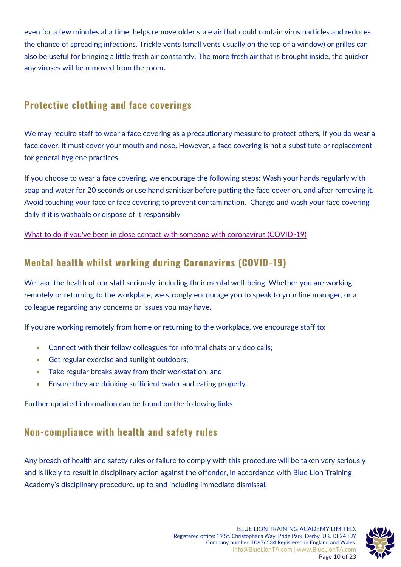even for a few minutes at a time, helps remove older stale air that could contain virus particles and reduces the chance of spreading infections. Trickle vents (small vents usually on the top of a window) or grilles can also be useful for bringing a little fresh air constantly. The more fresh air that is brought inside, the quicker any viruses will be removed from the room.

#### **Protective clothing and face coverings**

We may require staff to wear a face covering as a precautionary measure to protect others, If you do wear a face cover, it must cover your mouth and nose. However, a face covering is not a substitute or replacement for general hygiene practices.

If you choose to wear a face covering, we encourage the following steps: Wash your hands regularly with soap and water for 20 seconds or use hand sanitiser before putting the face cover on, and after removing it. Avoid touching your face or face covering to prevent contamination. Change and wash your face covering daily if it is washable or dispose of it responsibly

[What to do if you've been in close contact with someone with coronavirus \(COVID-19\)](https://www.nhs.uk/conditions/coronavirus-covid-19/self-isolation-and-treatment/if-youre-told-to-self-isolate-by-nhs-test-and-trace-or-the-covid-19-app/)

#### **Mental health whilst working during Coronavirus (COVID-19)**

We take the health of our staff seriously, including their mental well-being. Whether you are working remotely or returning to the workplace, we strongly encourage you to speak to your line manager, or a colleague regarding any concerns or issues you may have.

If you are working remotely from home or returning to the workplace, we encourage staff to:

- Connect with their fellow colleagues for informal chats or video calls;
- Get regular exercise and sunlight outdoors;
- Take regular breaks away from their workstation; and
- Ensure they are drinking sufficient water and eating properly.

Further updated information can be found on the following links

### **Non-compliance with health and safety rules**

Any breach of health and safety rules or failure to comply with this procedure will be taken very seriously and is likely to result in disciplinary action against the offender, in accordance with Blue Lion Training Academy's disciplinary procedure, up to and including immediate dismissal.

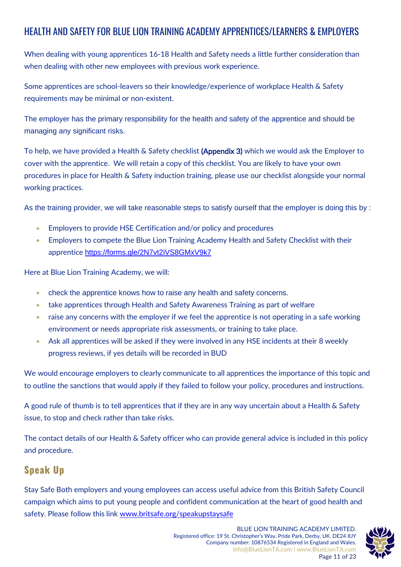### <span id="page-10-0"></span>HEALTH AND SAFETY FOR BLUE LION TRAINING ACADEMY APPRENTICES/LEARNERS & EMPLOYERS

When dealing with young apprentices 16-18 Health and Safety needs a little further consideration than when dealing with other new employees with previous work experience.

Some apprentices are school-leavers so their knowledge/experience of workplace Health & Safety requirements may be minimal or non-existent.

The employer has the primary responsibility for the health and safety of the apprentice and should be managing any significant risks.

To help, we have provided a Health & Safety checklist (Appendix 3) which we would ask the Employer to cover with the apprentice. We will retain a copy of this checklist. You are likely to have your own procedures in place for Health & Safety induction training, please use our checklist alongside your normal working practices.

As the training provider, we will take reasonable steps to satisfy ourself that the employer is doing this by :

- Employers to provide HSE Certification and/or policy and procedures
- Employers to compete the Blue Lion Training Academy Health and Safety Checklist with their apprentice <https://forms.gle/2N7vt2iVS8GMxV9k7>

Here at Blue Lion Training Academy, we will:

- check the apprentice knows how to raise any health and safety concerns.
- take apprentices through Health and Safety Awareness Training as part of welfare
- raise any concerns with the employer if we feel the apprentice is not operating in a safe working environment or needs appropriate risk assessments, or training to take place.
- Ask all apprentices will be asked if they were involved in any HSE incidents at their 8 weekly progress reviews, if yes details will be recorded in BUD

We would encourage employers to clearly communicate to all apprentices the importance of this topic and to outline the sanctions that would apply if they failed to follow your policy, procedures and instructions.

A good rule of thumb is to tell apprentices that if they are in any way uncertain about a Health & Safety issue, to stop and check rather than take risks.

The contact details of our Health & Safety officer who can provide general advice is included in this policy and procedure.

#### **Speak Up**

Stay Safe Both employers and young employees can access useful advice from this British Safety Council campaign which aims to put young people and confident communication at the heart of good health and safety. Please follow this link [www.britsafe.org/speakupstaysafe](http://www.britsafe.org/speakupstaysafe)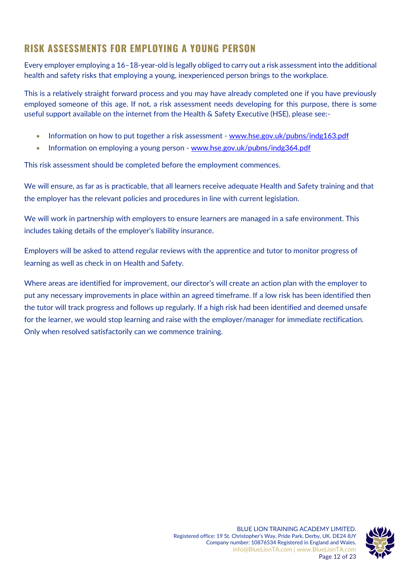#### <span id="page-11-0"></span>**RISK ASSESSMENTS FOR EMPLOYING A YOUNG PERSON**

Every employer employing a 16–18-year-old is legally obliged to carry out a risk assessment into the additional health and safety risks that employing a young, inexperienced person brings to the workplace.

This is a relatively straight forward process and you may have already completed one if you have previously employed someone of this age. If not, a risk assessment needs developing for this purpose, there is some useful support available on the internet from the Health & Safety Executive (HSE), please see:-

- Information on how to put together a risk assessment [www.hse.gov.uk/pubns/indg163.pdf](http://www.hse.gov.uk/pubns/indg163.pdf)
- Information on employing a young person www.hse.gov.uk/pubns/indg364.pdf

This risk assessment should be completed before the employment commences.

We will ensure, as far as is practicable, that all learners receive adequate Health and Safety training and that the employer has the relevant policies and procedures in line with current legislation.

We will work in partnership with employers to ensure learners are managed in a safe environment. This includes taking details of the employer's liability insurance.

Employers will be asked to attend regular reviews with the apprentice and tutor to monitor progress of learning as well as check in on Health and Safety.

Where areas are identified for improvement, our director's will create an action plan with the employer to put any necessary improvements in place within an agreed timeframe. If a low risk has been identified then the tutor will track progress and follows up regularly. If a high risk had been identified and deemed unsafe for the learner, we would stop learning and raise with the employer/manager for immediate rectification. Only when resolved satisfactorily can we commence training.

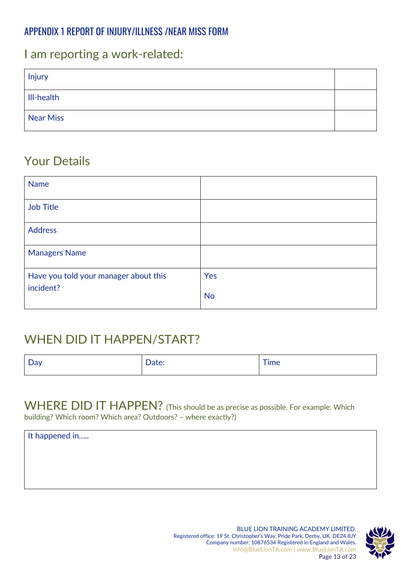#### <span id="page-12-0"></span>APPENDIX 1 REPORT OF INJURY/ILLNESS /NEAR MISS FORM

### I am reporting a work-related:

| Injury     |  |
|------------|--|
| III-health |  |
| Near Miss  |  |

### Your Details

| <b>Name</b>                           |           |
|---------------------------------------|-----------|
| <b>Job Title</b>                      |           |
| <b>Address</b>                        |           |
| <b>Managers Name</b>                  |           |
| Have you told your manager about this | Yes       |
| incident?                             | <b>No</b> |

## WHEN DID IT HAPPEN/START?

| ∽ |       |            |
|---|-------|------------|
| ◡ | oucc. | <b>Ime</b> |
|   |       |            |

#### WHERE DID IT HAPPEN? (This should be as precise as possible. For example: Which building? Which room? Which area? Outdoors? – where exactly?)

| It happened in |  |  |
|----------------|--|--|
|                |  |  |
|                |  |  |
|                |  |  |
|                |  |  |

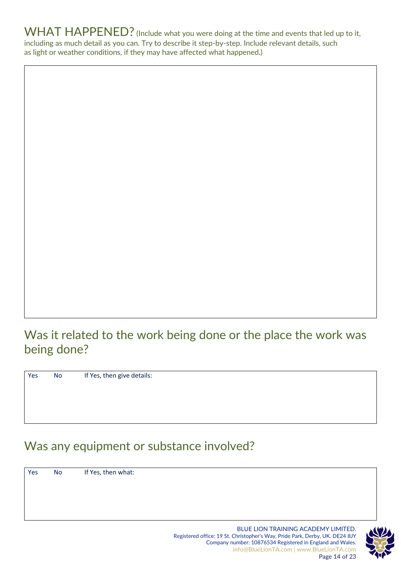WHAT HAPPENED? (Include what you were doing at the time and events that led up to it, including as much detail as you can. Try to describe it step-by-step. Include relevant details, such as light or weather conditions, if they may have affected what happened.)

## Was it related to the work being done or the place the work was being done?

Yes No If Yes, then give details:

## Was any equipment or substance involved?

Yes No If Yes, then what:

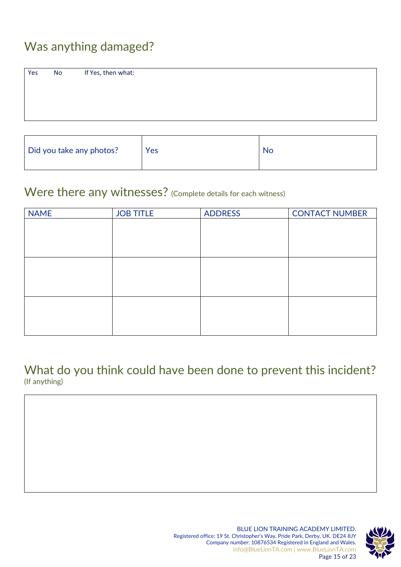## Was anything damaged?

| Yes<br>No                | If Yes, then what: |     |           |
|--------------------------|--------------------|-----|-----------|
| Did you take any photos? |                    | Yes | <b>No</b> |

### Were there any witnesses? (Complete details for each witness)

| <b>NAME</b> | <b>JOB TITLE</b> | <b>ADDRESS</b> | <b>CONTACT NUMBER</b> |
|-------------|------------------|----------------|-----------------------|
|             |                  |                |                       |
|             |                  |                |                       |
|             |                  |                |                       |
|             |                  |                |                       |
|             |                  |                |                       |
|             |                  |                |                       |
|             |                  |                |                       |
|             |                  |                |                       |
|             |                  |                |                       |

What do you think could have been done to prevent this incident? (If anything)

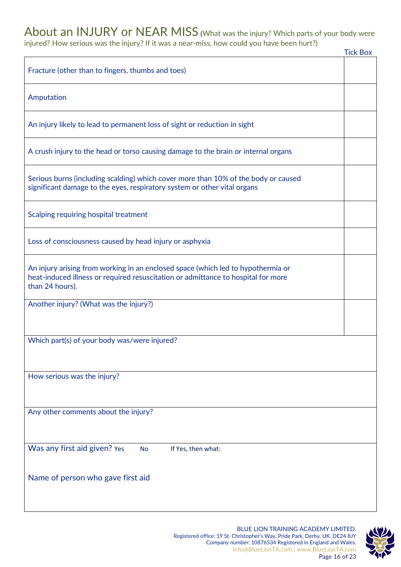## About an INJURY or NEAR MISS (What was the injury? Which parts of your body were

injured? How serious was the injury? If it was a near-miss, how could you have been hurt?)

|                                                                                                                                                                                          | <b>Tick Box</b> |
|------------------------------------------------------------------------------------------------------------------------------------------------------------------------------------------|-----------------|
| Fracture (other than to fingers, thumbs and toes)                                                                                                                                        |                 |
| Amputation                                                                                                                                                                               |                 |
| An injury likely to lead to permanent loss of sight or reduction in sight                                                                                                                |                 |
| A crush injury to the head or torso causing damage to the brain or internal organs                                                                                                       |                 |
| Serious burns (including scalding) which cover more than 10% of the body or caused<br>significant damage to the eyes, respiratory system or other vital organs                           |                 |
| Scalping requiring hospital treatment                                                                                                                                                    |                 |
| Loss of consciousness caused by head injury or asphyxia                                                                                                                                  |                 |
| An injury arising from working in an enclosed space (which led to hypothermia or<br>heat-induced illness or required resuscitation or admittance to hospital for more<br>than 24 hours). |                 |
| Another injury? (What was the injury?)                                                                                                                                                   |                 |
| Which part(s) of your body was/were injured?                                                                                                                                             |                 |
| How serious was the injury?                                                                                                                                                              |                 |
| Any other comments about the injury?                                                                                                                                                     |                 |
| Was any first aid given? Yes<br>If Yes, then what:<br><b>No</b>                                                                                                                          |                 |
| Name of person who gave first aid                                                                                                                                                        |                 |
|                                                                                                                                                                                          |                 |

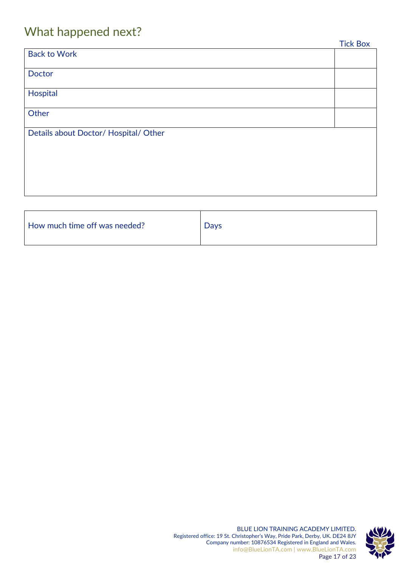## What happened next?

| __                                    | <b>Tick Box</b> |
|---------------------------------------|-----------------|
| <b>Back to Work</b>                   |                 |
|                                       |                 |
| Doctor                                |                 |
| Hospital                              |                 |
|                                       |                 |
| Other                                 |                 |
|                                       |                 |
| Details about Doctor/ Hospital/ Other |                 |
|                                       |                 |
|                                       |                 |
|                                       |                 |
|                                       |                 |
|                                       |                 |
|                                       |                 |

| How much time off was needed? | <b>Days</b> |
|-------------------------------|-------------|
|                               |             |

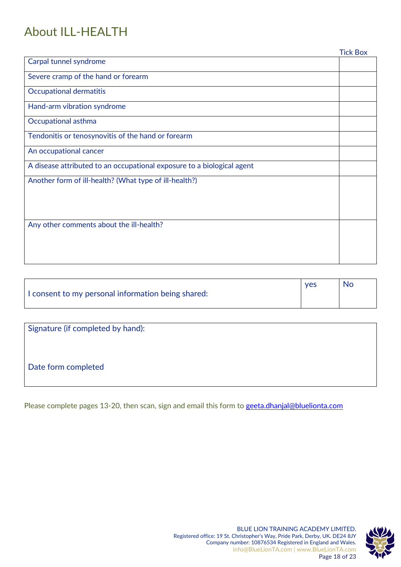## About ILL-HEALTH

|                                                                        | <b>Tick Box</b> |
|------------------------------------------------------------------------|-----------------|
| Carpal tunnel syndrome                                                 |                 |
| Severe cramp of the hand or forearm                                    |                 |
| <b>Occupational dermatitis</b>                                         |                 |
| Hand-arm vibration syndrome                                            |                 |
| <b>Occupational asthma</b>                                             |                 |
| Tendonitis or tenosynovitis of the hand or forearm                     |                 |
| An occupational cancer                                                 |                 |
| A disease attributed to an occupational exposure to a biological agent |                 |
| Another form of ill-health? (What type of ill-health?)                 |                 |
|                                                                        |                 |
|                                                                        |                 |
| Any other comments about the ill-health?                               |                 |
|                                                                        |                 |
|                                                                        |                 |
|                                                                        |                 |

|                                                    | <b>ves</b> | No. |
|----------------------------------------------------|------------|-----|
| I consent to my personal information being shared: |            |     |

Signature (if completed by hand):

Date form completed

Please complete pages 13-20, then scan, sign and email this form to [geeta.dhanjal@bluelionta.com](mailto:geeta.dhanjal@bluelionta.com)

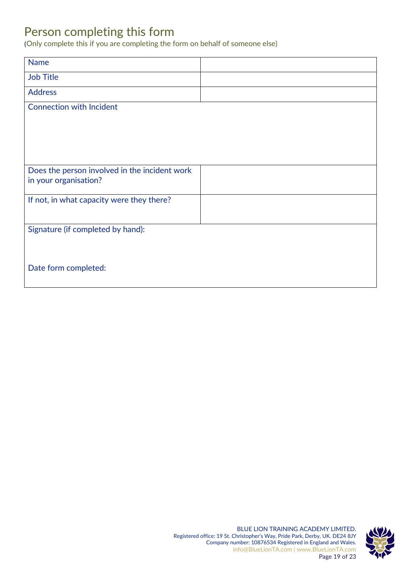### Person completing this form

(Only complete this if you are completing the form on behalf of someone else)

| <b>Name</b>                                                            |  |
|------------------------------------------------------------------------|--|
| <b>Job Title</b>                                                       |  |
| <b>Address</b>                                                         |  |
| <b>Connection with Incident</b>                                        |  |
|                                                                        |  |
|                                                                        |  |
|                                                                        |  |
|                                                                        |  |
| Does the person involved in the incident work<br>in your organisation? |  |
|                                                                        |  |
| If not, in what capacity were they there?                              |  |
|                                                                        |  |
| Signature (if completed by hand):                                      |  |
|                                                                        |  |
|                                                                        |  |
| Date form completed:                                                   |  |
|                                                                        |  |

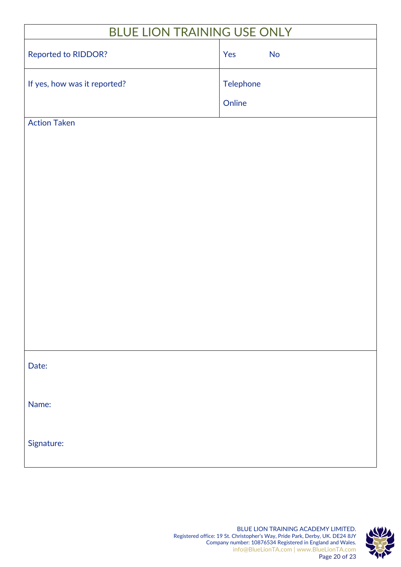| <b>BLUE LION TRAINING USE ONLY</b> |           |           |  |  |
|------------------------------------|-----------|-----------|--|--|
| Reported to RIDDOR?                | Yes       | <b>No</b> |  |  |
| If yes, how was it reported?       | Telephone |           |  |  |
|                                    | Online    |           |  |  |
| <b>Action Taken</b>                |           |           |  |  |
|                                    |           |           |  |  |
|                                    |           |           |  |  |
|                                    |           |           |  |  |
|                                    |           |           |  |  |
|                                    |           |           |  |  |
|                                    |           |           |  |  |
|                                    |           |           |  |  |
| Date:                              |           |           |  |  |
| Name:                              |           |           |  |  |
| Signature:                         |           |           |  |  |

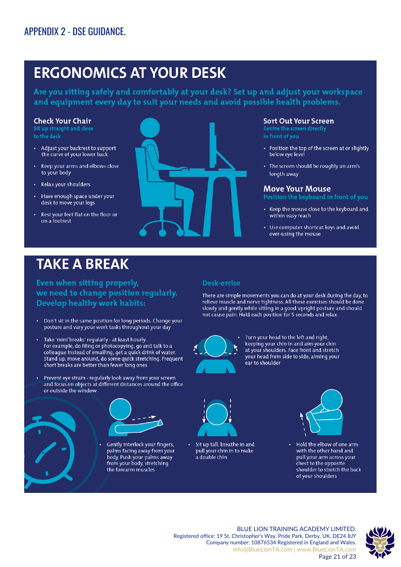## <span id="page-20-0"></span>**ERGONOMICS AT YOUR DESK**

Are you sitting safely and comfortably at your desk? Set up and adjust your workspace and equipment every day to suit your needs and avoid possible health problems.

#### **Check Your Chair**

to the desk

- Adjust your backrest to support the curve of your lower back
- Keep your arms and elbows close to your body
- Relax your shoulders
- Have enough space under your desk to move your legs
- Rest your feet flat on the floor or on a footrest



#### **Sort Out Your Screen**

in front of you

- Position the top of the screen at or slightly below eye level
- The screen should be roughly an arm's length away

#### **Move Your Mouse**

- Position the keyboard in front of you
- Keep the mouse close to the keyboard and within easy reach
- Use computer shortcut keys and avoid over-using the mouse

## **TAKE A BREAK**

Even when sitting properly, we need to change position reqularly. Develop healthy work habits:

- Don't sit in the same position for long periods. Change your posture and vary your work tasks throughout your day
- Take 'mini' breaks' regularly at least hourly. For example, do filing or photocopying, go and talk to a colleague instead of emailing, get a quick drink of water. Stand up, move around, do some quick stretching. Frequent short breaks are better than fewer long ones
- Prevent eye strain regularly look away from your screen and focus on objects at different distances around the office or outside the window



Gently interlock your fingers, palms facing away from your body. Push your palms away from your body, stretching the forearm muscles



There are simple movements you can do at your desk during the day, to relieve muscle and nerve tightness. All these exercises should be done slowly and gently while sitting in a good upright posture and should not cause pain. Hold each position for 5 seconds and relax.



Turn your head to the left and right, keeping your chin in and aim your chin at your shoulders. Face front and stretch your head from side to side, aiming your ear to shoulder



Sit up tall, breathe in and pull your chin in to make a double chin



Hold the elbow of one arm with the other hand and pull your arm across your chest to the opposite shoulder to stretch the back of your shoulders



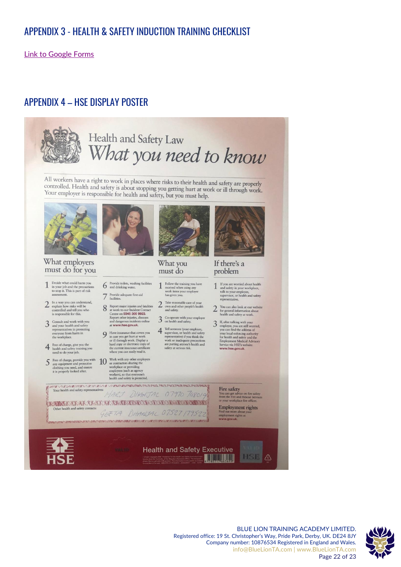#### <span id="page-21-0"></span>APPENDIX 3 - HEALTH & SAFETY INDUCTION TRAINING CHECKLIST

[Link to Google Forms](https://forms.gle/2N7vt2iVS8GMxV9k7)

#### <span id="page-21-1"></span>APPENDIX 4 – HSE DISPLAY POSTER